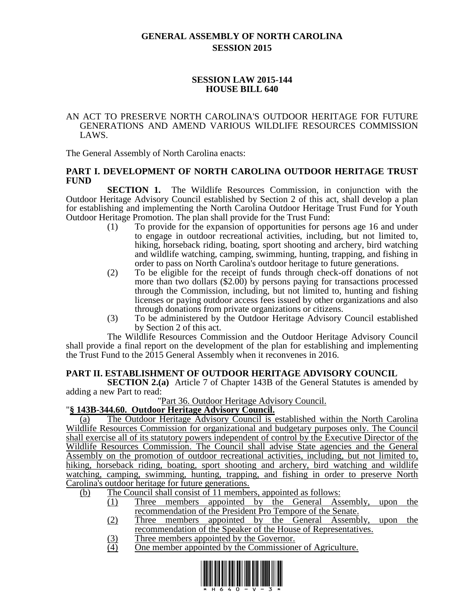# **GENERAL ASSEMBLY OF NORTH CAROLINA SESSION 2015**

# **SESSION LAW 2015-144 HOUSE BILL 640**

#### AN ACT TO PRESERVE NORTH CAROLINA'S OUTDOOR HERITAGE FOR FUTURE GENERATIONS AND AMEND VARIOUS WILDLIFE RESOURCES COMMISSION LAWS.

The General Assembly of North Carolina enacts:

### **PART I. DEVELOPMENT OF NORTH CAROLINA OUTDOOR HERITAGE TRUST FUND**

**SECTION 1.** The Wildlife Resources Commission, in conjunction with the Outdoor Heritage Advisory Council established by Section 2 of this act, shall develop a plan for establishing and implementing the North Carolina Outdoor Heritage Trust Fund for Youth Outdoor Heritage Promotion. The plan shall provide for the Trust Fund:

- (1) To provide for the expansion of opportunities for persons age 16 and under to engage in outdoor recreational activities, including, but not limited to, hiking, horseback riding, boating, sport shooting and archery, bird watching and wildlife watching, camping, swimming, hunting, trapping, and fishing in order to pass on North Carolina's outdoor heritage to future generations.
- (2) To be eligible for the receipt of funds through check-off donations of not more than two dollars (\$2.00) by persons paying for transactions processed through the Commission, including, but not limited to, hunting and fishing licenses or paying outdoor access fees issued by other organizations and also through donations from private organizations or citizens.
- (3) To be administered by the Outdoor Heritage Advisory Council established by Section 2 of this act.

The Wildlife Resources Commission and the Outdoor Heritage Advisory Council shall provide a final report on the development of the plan for establishing and implementing the Trust Fund to the 2015 General Assembly when it reconvenes in 2016.

# **PART II. ESTABLISHMENT OF OUTDOOR HERITAGE ADVISORY COUNCIL**

**SECTION 2.(a)** Article 7 of Chapter 143B of the General Statutes is amended by adding a new Part to read:

"Part 36. Outdoor Heritage Advisory Council.

# "**§ 143B-344.60. Outdoor Heritage Advisory Council.**

(a) The Outdoor Heritage Advisory Council is established within the North Carolina Wildlife Resources Commission for organizational and budgetary purposes only. The Council shall exercise all of its statutory powers independent of control by the Executive Director of the Wildlife Resources Commission. The Council shall advise State agencies and the General Assembly on the promotion of outdoor recreational activities, including, but not limited to, hiking, horseback riding, boating, sport shooting and archery, bird watching and wildlife watching, camping, swimming, hunting, trapping, and fishing in order to preserve North Carolina's outdoor heritage for future generations.

(b) The Council shall consist of 11 members, appointed as follows:

- (1) Three members appointed by the General Assembly, upon the recommendation of the President Pro Tempore of the Senate.
- (2) Three members appointed by the General Assembly, upon the recommendation of the Speaker of the House of Representatives.
- (3) Three members appointed by the Governor.<br>
(4) One member appointed by the Commissione
- (4) One member appointed by the Commissioner of Agriculture.

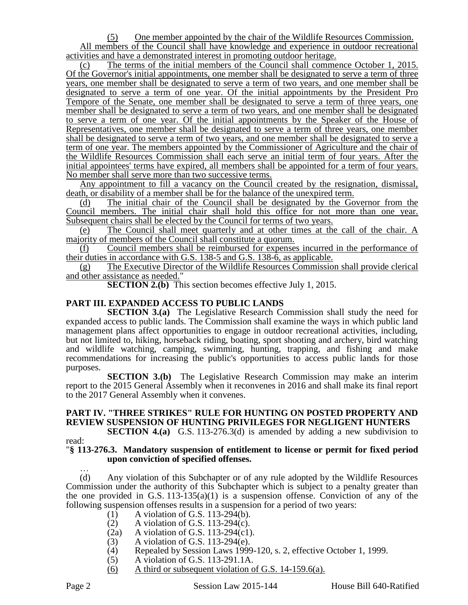(5) One member appointed by the chair of the Wildlife Resources Commission. All members of the Council shall have knowledge and experience in outdoor recreational activities and have a demonstrated interest in promoting outdoor heritage.

(c) The terms of the initial members of the Council shall commence October 1, 2015. Of the Governor's initial appointments, one member shall be designated to serve a term of three years, one member shall be designated to serve a term of two years, and one member shall be designated to serve a term of one year. Of the initial appointments by the President Pro Tempore of the Senate, one member shall be designated to serve a term of three years, one member shall be designated to serve a term of two years, and one member shall be designated to serve a term of one year. Of the initial appointments by the Speaker of the House of Representatives, one member shall be designated to serve a term of three years, one member shall be designated to serve a term of two years, and one member shall be designated to serve a term of one year. The members appointed by the Commissioner of Agriculture and the chair of the Wildlife Resources Commission shall each serve an initial term of four years. After the initial appointees' terms have expired, all members shall be appointed for a term of four years. No member shall serve more than two successive terms.

Any appointment to fill a vacancy on the Council created by the resignation, dismissal, death, or disability of a member shall be for the balance of the unexpired term.

(d) The initial chair of the Council shall be designated by the Governor from the Council members. The initial chair shall hold this office for not more than one year. Subsequent chairs shall be elected by the Council for terms of two years.

(e) The Council shall meet quarterly and at other times at the call of the chair. A majority of members of the Council shall constitute a quorum.

(f) Council members shall be reimbursed for expenses incurred in the performance of their duties in accordance with G.S. 138-5 and G.S. 138-6, as applicable.

(g) The Executive Director of the Wildlife Resources Commission shall provide clerical and other assistance as needed."

**SECTION 2.(b)** This section becomes effective July 1, 2015.

### **PART III. EXPANDED ACCESS TO PUBLIC LANDS**

**SECTION 3.(a)** The Legislative Research Commission shall study the need for expanded access to public lands. The Commission shall examine the ways in which public land management plans affect opportunities to engage in outdoor recreational activities, including, but not limited to, hiking, horseback riding, boating, sport shooting and archery, bird watching and wildlife watching, camping, swimming, hunting, trapping, and fishing and make recommendations for increasing the public's opportunities to access public lands for those purposes.

**SECTION 3.(b)** The Legislative Research Commission may make an interim report to the 2015 General Assembly when it reconvenes in 2016 and shall make its final report to the 2017 General Assembly when it convenes.

# **PART IV. "THREE STRIKES" RULE FOR HUNTING ON POSTED PROPERTY AND REVIEW SUSPENSION OF HUNTING PRIVILEGES FOR NEGLIGENT HUNTERS**

**SECTION 4.(a)** G.S. 113-276.3(d) is amended by adding a new subdivision to read:

#### "**§ 113-276.3. Mandatory suspension of entitlement to license or permit for fixed period upon conviction of specified offenses.**

… (d) Any violation of this Subchapter or of any rule adopted by the Wildlife Resources Commission under the authority of this Subchapter which is subject to a penalty greater than the one provided in G.S. 113-135(a)(1) is a suspension offense. Conviction of any of the following suspension offenses results in a suspension for a period of two years:

- (1) A violation of G.S. 113-294(b).
- 
- (2) A violation of G.S. 113-294(c).<br>(2a) A violation of G.S. 113-294(c1) A violation of G.S.  $113-294(c1)$ .
- (3) A violation of G.S. 113-294(e).
- (4) Repealed by Session Laws 1999-120, s. 2, effective October 1, 1999.
- (5) A violation of G.S. 113-291.1A.
- (6) A third or subsequent violation of G.S. 14-159.6(a).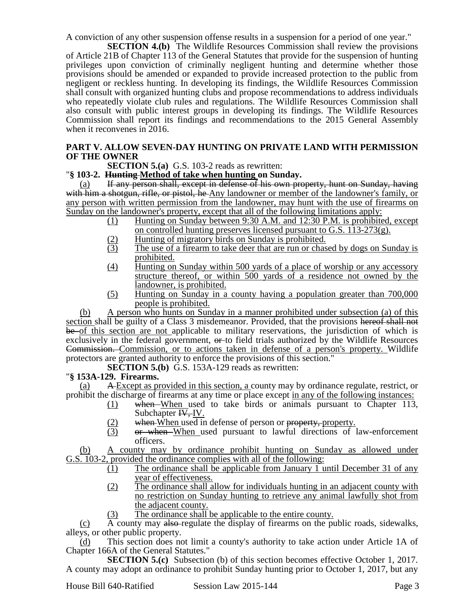A conviction of any other suspension offense results in a suspension for a period of one year."

**SECTION 4.(b)** The Wildlife Resources Commission shall review the provisions of Article 21B of Chapter 113 of the General Statutes that provide for the suspension of hunting privileges upon conviction of criminally negligent hunting and determine whether those provisions should be amended or expanded to provide increased protection to the public from negligent or reckless hunting. In developing its findings, the Wildlife Resources Commission shall consult with organized hunting clubs and propose recommendations to address individuals who repeatedly violate club rules and regulations. The Wildlife Resources Commission shall also consult with public interest groups in developing its findings. The Wildlife Resources Commission shall report its findings and recommendations to the 2015 General Assembly when it reconvenes in 2016.

# **PART V. ALLOW SEVEN-DAY HUNTING ON PRIVATE LAND WITH PERMISSION OF THE OWNER**

**SECTION 5.(a)** G.S. 103-2 reads as rewritten:

### "**§ 103-2. Hunting Method of take when hunting on Sunday.**

(a) If any person shall, except in defense of his own property, hunt on Sunday, having with him a shotgun, rifle, or pistol, he Any landowner or member of the landowner's family, or any person with written permission from the landowner, may hunt with the use of firearms on Sunday on the landowner's property, except that all of the following limitations apply:

- (1) Hunting on Sunday between 9:30 A.M. and 12:30 P.M. is prohibited, except on controlled hunting preserves licensed pursuant to G.S. 113-273(g).
- $\frac{1}{2}$  Hunting of migratory birds on Sunday is prohibited.<br>
The use of a firearm to take deer that are run or chas
- The use of a firearm to take deer that are run or chased by dogs on Sunday is prohibited.
- (4) Hunting on Sunday within 500 yards of a place of worship or any accessory structure thereof, or within 500 yards of a residence not owned by the landowner, is prohibited.
- (5) Hunting on Sunday in a county having a population greater than 700,000 people is prohibited.

(b) A person who hunts on Sunday in a manner prohibited under subsection (a) of this section shall be guilty of a Class 3 misdemeanor. Provided, that the provisions hereof shall not be of this section are not applicable to military reservations, the jurisdiction of which is exclusively in the federal government,  $\theta$ -to field trials authorized by the Wildlife Resources Commission. Commission, or to actions taken in defense of a person's property. Wildlife protectors are granted authority to enforce the provisions of this section."

**SECTION 5.(b)** G.S. 153A-129 reads as rewritten:

# "**§ 153A-129. Firearms.**

(a) A Except as provided in this section, a county may by ordinance regulate, restrict, or prohibit the discharge of firearms at any time or place except in any of the following instances:

- (1) when When used to take birds or animals pursuant to Chapter 113, Subchapter IV<sub>,</sub> IV.
- $\frac{12}{13}$  when When used in defense of person or property, property.<br>  $\frac{12}{13}$  or when When used pursuant to lawful directions of
- or when When used pursuant to lawful directions of law-enforcement officers.

(b) A county may by ordinance prohibit hunting on Sunday as allowed under G.S. 103-2, provided the ordinance complies with all of the following:

- (1) The ordinance shall be applicable from January 1 until December 31 of any year of effectiveness.
- (2) The ordinance shall allow for individuals hunting in an adjacent county with no restriction on Sunday hunting to retrieve any animal lawfully shot from the adjacent county.
- (3) The ordinance shall be applicable to the entire county.

 $(c)$  A county may also-regulate the display of firearms on the public roads, sidewalks, alleys, or other public property.

This section does not limit a county's authority to take action under Article 1A of Chapter 166A of the General Statutes."

**SECTION 5.(c)** Subsection (b) of this section becomes effective October 1, 2017. A county may adopt an ordinance to prohibit Sunday hunting prior to October 1, 2017, but any